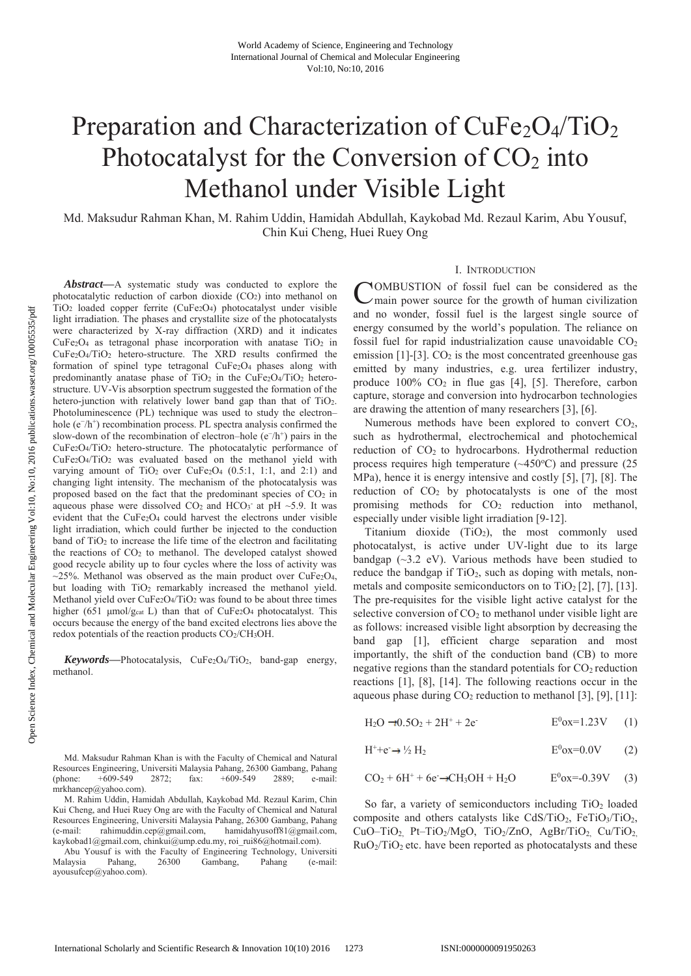# Preparation and Characterization of  $CuFe<sub>2</sub>O<sub>4</sub>/TiO<sub>2</sub>$ Photocatalyst for the Conversion of CO<sub>2</sub> into Methanol under Visible Light

Md. Maksudur Rahman Khan, M. Rahim Uddin, Hamidah Abdullah, Kaykobad Md. Rezaul Karim, Abu Yousuf, Chin Kui Cheng, Huei Ruey Ong

*Abstract***—**A systematic study was conducted to explore the photocatalytic reduction of carbon dioxide (CO2) into methanol on TiO2 loaded copper ferrite (CuFe2O4) photocatalyst under visible light irradiation. The phases and crystallite size of the photocatalysts were characterized by X-ray diffraction (XRD) and it indicates  $CuFe<sub>2</sub>O<sub>4</sub>$  as tetragonal phase incorporation with anatase TiO<sub>2</sub> in CuFe2O4/TiO2 hetero-structure. The XRD results confirmed the formation of spinel type tetragonal CuFe<sub>2</sub>O<sub>4</sub> phases along with predominantly anatase phase of  $TiO<sub>2</sub>$  in the CuFe<sub>2</sub>O<sub>4</sub>/T<sub>i</sub>O<sub>2</sub> heterostructure. UV-Vis absorption spectrum suggested the formation of the hetero-junction with relatively lower band gap than that of  $TiO<sub>2</sub>$ . Photoluminescence (PL) technique was used to study the electron– hole (e<sup>−/h+</sup>) recombination process. PL spectra analysis confirmed the slow-down of the recombination of electron–hole ( $e^{-}/h^{+}$ ) pairs in the CuFe2O4/TiO2 hetero-structure. The photocatalytic performance of CuFe2O4/TiO2 was evaluated based on the methanol yield with varying amount of  $TiO<sub>2</sub>$  over  $CuFe<sub>2</sub>O<sub>4</sub>$  (0.5:1, 1:1, and 2:1) and changing light intensity. The mechanism of the photocatalysis was proposed based on the fact that the predominant species of  $CO<sub>2</sub>$  in aqueous phase were dissolved  $CO<sub>2</sub>$  and  $HCO<sub>3</sub>$  at pH ~5.9. It was evident that the CuFe<sub>2</sub>O<sub>4</sub> could harvest the electrons under visible light irradiation, which could further be injected to the conduction band of  $TiO<sub>2</sub>$  to increase the life time of the electron and facilitating the reactions of  $CO<sub>2</sub>$  to methanol. The developed catalyst showed good recycle ability up to four cycles where the loss of activity was  $\sim$ 25%. Methanol was observed as the main product over CuFe<sub>2</sub>O<sub>4</sub>, but loading with TiO<sub>2</sub> remarkably increased the methanol yield. Methanol yield over CuFe<sub>2</sub>O<sub>4</sub>/TiO<sub>2</sub> was found to be about three times higher (651  $\mu$ mol/g<sub>cat</sub> L) than that of CuFe<sub>2</sub>O<sub>4</sub> photocatalyst. This occurs because the energy of the band excited electrons lies above the redox potentials of the reaction products  $CO<sub>2</sub>/CH<sub>3</sub>OH$ .

*Keywords***—**Photocatalysis, CuFe2O4/TiO2, band-gap energy, methanol.

Abu Yousuf is with the Faculty of Engineering Technology, Universiti Malaysia Pahang, 26300 Gambang, Pahang (e-mail: ayousufcep@yahoo.com).

#### I. INTRODUCTION

COMBUSTION of fossil fuel can be considered as the main power source for the growth of human civilization  $\nu$ main power source for the growth of human civilization and no wonder, fossil fuel is the largest single source of energy consumed by the world's population. The reliance on fossil fuel for rapid industrialization cause unavoidable  $CO<sub>2</sub>$ emission [1]-[3].  $CO<sub>2</sub>$  is the most concentrated greenhouse gas emitted by many industries, e.g. urea fertilizer industry, produce  $100\%$  CO<sub>2</sub> in flue gas [4], [5]. Therefore, carbon capture, storage and conversion into hydrocarbon technologies are drawing the attention of many researchers [3], [6].

Numerous methods have been explored to convert  $CO<sub>2</sub>$ , such as hydrothermal, electrochemical and photochemical reduction of CO2 to hydrocarbons. Hydrothermal reduction process requires high temperature  $(\sim450^{\circ}C)$  and pressure (25 MPa), hence it is energy intensive and costly [5], [7], [8]. The reduction of  $CO<sub>2</sub>$  by photocatalysts is one of the most promising methods for  $CO<sub>2</sub>$  reduction into methanol, especially under visible light irradiation [9-12].

Titanium dioxide  $(TiO<sub>2</sub>)$ , the most commonly used photocatalyst, is active under UV-light due to its large bandgap  $(\sim 3.2 \text{ eV})$ . Various methods have been studied to reduce the bandgap if  $TiO<sub>2</sub>$ , such as doping with metals, nonmetals and composite semiconductors on to  $TiO<sub>2</sub>[2]$ , [7], [13]. The pre-requisites for the visible light active catalyst for the selective conversion of  $CO<sub>2</sub>$  to methanol under visible light are as follows: increased visible light absorption by decreasing the band gap [1], efficient charge separation and most importantly, the shift of the conduction band (CB) to more negative regions than the standard potentials for  $CO<sub>2</sub>$  reduction reactions [1], [8], [14]. The following reactions occur in the aqueous phase during  $CO_2$  reduction to methanol [3], [9], [11]:

$$
H_2O \rightarrow 0.5O_2 + 2H^+ + 2e^-
$$
 E<sup>0</sup>ox=1.23V (1)

$$
H^{+} + e^{-} \rightarrow \frac{1}{2} H_{2}
$$
\n
$$
E^{0} \text{ox} = 0.0 V \qquad (2)
$$

$$
CO_2 + 6H^+ + 6e \rightarrow CH_3OH + H_2O
$$
  $E^0ox = 0.39V$  (3)

So far, a variety of semiconductors including  $TiO<sub>2</sub>$  loaded composite and others catalysts like CdS/TiO2, FeTiO3/TiO2, CuO–TiO<sub>2</sub>, Pt–TiO<sub>2</sub>/MgO, TiO<sub>2</sub>/ZnO, AgBr/TiO<sub>2</sub>, Cu/TiO<sub>2</sub>,  $RuO<sub>2</sub>/TiO<sub>2</sub>$  etc. have been reported as photocatalysts and these

Md. Maksudur Rahman Khan is with the Faculty of Chemical and Natural Resources Engineering, Universiti Malaysia Pahang, 26300 Gambang, Pahang (phone: +609-549 2872; fax: +609-549 2889; e-mail: mrkhancep@yahoo.com).

M. Rahim Uddin, Hamidah Abdullah, Kaykobad Md. Rezaul Karim, Chin Kui Cheng, and Huei Ruey Ong are with the Faculty of Chemical and Natural Resources Engineering, Universiti Malaysia Pahang, 26300 Gambang, Pahang (e-mail: rahimuddin.cep@gmail.com, hamidahyusoff81@gmail.com, kaykobad1@gmail.com, chinkui@ump.edu.my, roi\_rui86@hotmail.com).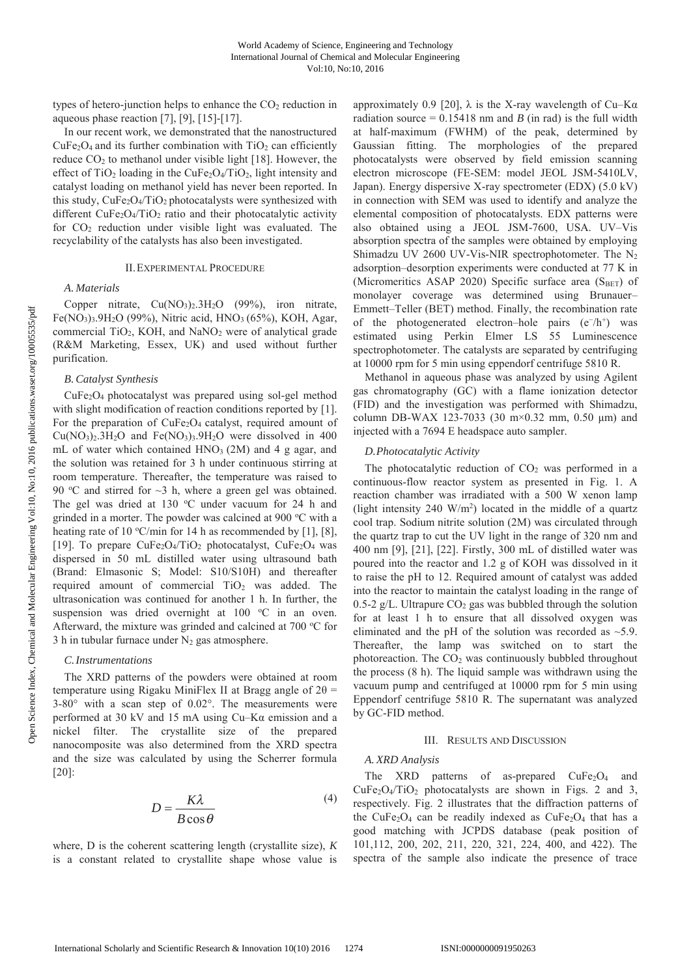types of hetero-junction helps to enhance the CO<sub>2</sub> reduction in aqueous phase reaction [7], [9], [15]-[17].

In our recent work, we demonstrated that the nanostructured  $CuFe<sub>2</sub>O<sub>4</sub>$  and its further combination with  $TiO<sub>2</sub>$  can efficiently reduce  $CO<sub>2</sub>$  to methanol under visible light [18]. However, the effect of  $TiO<sub>2</sub>$  loading in the CuFe<sub>2</sub>O<sub>4</sub>/TiO<sub>2</sub>, light intensity and catalyst loading on methanol yield has never been reported. In this study,  $CuFe<sub>2</sub>O<sub>4</sub>/TiO<sub>2</sub> photocatalysts were synthesized with$ different CuFe<sub>2</sub>O<sub>4</sub>/T<sub>i</sub>O<sub>2</sub> ratio and their photocatalytic activity for  $CO<sub>2</sub>$  reduction under visible light was evaluated. The recyclability of the catalysts has also been investigated.

#### II.EXPERIMENTAL PROCEDURE

# *A. Materials*

Copper nitrate,  $Cu(NO<sub>3</sub>)<sub>2</sub>$ .3H<sub>2</sub>O (99%), iron nitrate, Fe(NO<sub>3</sub>)<sub>3</sub>.9H<sub>2</sub>O (99%), Nitric acid, HNO<sub>3</sub> (65%), KOH, Agar, commercial TiO<sub>2</sub>, KOH, and NaNO<sub>2</sub> were of analytical grade (R&M Marketing, Essex, UK) and used without further purification.

#### *B. Catalyst Synthesis*

CuFe2O4 photocatalyst was prepared using sol-gel method with slight modification of reaction conditions reported by [1]. For the preparation of  $CuFe<sub>2</sub>O<sub>4</sub>$  catalyst, required amount of  $Cu(NO<sub>3</sub>)<sub>2</sub>$ .3H<sub>2</sub>O and Fe(NO<sub>3</sub>)<sub>3</sub>.9H<sub>2</sub>O were dissolved in 400 mL of water which contained HNO<sub>3</sub> (2M) and 4 g agar, and the solution was retained for 3 h under continuous stirring at room temperature. Thereafter, the temperature was raised to 90 °C and stirred for  $\sim$ 3 h, where a green gel was obtained. The gel was dried at 130  $^{\circ}$ C under vacuum for 24 h and grinded in a morter. The powder was calcined at 900 °C with a heating rate of 10 °C/min for 14 h as recommended by [1], [8], [19]. To prepare  $CuFe<sub>2</sub>O<sub>4</sub>/TiO<sub>2</sub>$  photocatalyst,  $CuFe<sub>2</sub>O<sub>4</sub>$  was dispersed in 50 mL distilled water using ultrasound bath (Brand: Elmasonic S; Model: S10/S10H) and thereafter required amount of commercial  $TiO<sub>2</sub>$  was added. The ultrasonication was continued for another 1 h. In further, the suspension was dried overnight at 100 °C in an oven. Afterward, the mixture was grinded and calcined at 700 °C for 3 h in tubular furnace under  $N_2$  gas atmosphere.

#### *C.Instrumentations*

The XRD patterns of the powders were obtained at room temperature using Rigaku MiniFlex II at Bragg angle of  $2\theta$  = 3-80° with a scan step of 0.02°. The measurements were performed at 30 kV and 15 mA using Cu–Kα emission and a nickel filter. The crystallite size of the prepared nanocomposite was also determined from the XRD spectra and the size was calculated by using the Scherrer formula [20]:

$$
D = \frac{K\lambda}{B\cos\theta} \tag{4}
$$

where, D is the coherent scattering length (crystallite size), *K* is a constant related to crystallite shape whose value is approximately 0.9 [20],  $\lambda$  is the X-ray wavelength of Cu–K $\alpha$ radiation source  $= 0.15418$  nm and *B* (in rad) is the full width at half-maximum (FWHM) of the peak, determined by Gaussian fitting. The morphologies of the prepared photocatalysts were observed by field emission scanning electron microscope (FE-SEM: model JEOL JSM-5410LV, Japan). Energy dispersive X-ray spectrometer (EDX) (5.0 kV) in connection with SEM was used to identify and analyze the elemental composition of photocatalysts. EDX patterns were also obtained using a JEOL JSM-7600, USA. UV–Vis absorption spectra of the samples were obtained by employing Shimadzu UV 2600 UV-Vis-NIR spectrophotometer. The  $N_2$ adsorption–desorption experiments were conducted at 77 K in (Micromeritics ASAP 2020) Specific surface area ( $S<sub>BET</sub>$ ) of monolayer coverage was determined using Brunauer– Emmett–Teller (BET) method. Finally, the recombination rate of the photogenerated electron–hole pairs  $(e^{-}/h^{+})$  was estimated using Perkin Elmer LS 55 Luminescence spectrophotometer. The catalysts are separated by centrifuging at 10000 rpm for 5 min using eppendorf centrifuge 5810 R.

Methanol in aqueous phase was analyzed by using Agilent gas chromatography (GC) with a flame ionization detector (FID) and the investigation was performed with Shimadzu, column DB-WAX 123-7033 (30 m×0.32 mm, 0.50 μm) and injected with a 7694 E headspace auto sampler.

### *D.Photocatalytic Activity*

The photocatalytic reduction of  $CO<sub>2</sub>$  was performed in a continuous-flow reactor system as presented in Fig. 1. A reaction chamber was irradiated with a 500 W xenon lamp (light intensity  $240 \text{ W/m}^2$ ) located in the middle of a quartz cool trap. Sodium nitrite solution (2M) was circulated through the quartz trap to cut the UV light in the range of 320 nm and 400 nm [9], [21], [22]. Firstly, 300 mL of distilled water was poured into the reactor and 1.2 g of KOH was dissolved in it to raise the pH to 12. Required amount of catalyst was added into the reactor to maintain the catalyst loading in the range of 0.5-2 g/L. Ultrapure  $CO<sub>2</sub>$  gas was bubbled through the solution for at least 1 h to ensure that all dissolved oxygen was eliminated and the pH of the solution was recorded as  $\sim$ 5.9. Thereafter, the lamp was switched on to start the photoreaction. The  $CO<sub>2</sub>$  was continuously bubbled throughout the process (8 h). The liquid sample was withdrawn using the vacuum pump and centrifuged at 10000 rpm for 5 min using Eppendorf centrifuge 5810 R. The supernatant was analyzed by GC-FID method.

## III. RESULTS AND DISCUSSION

#### *A. XRD Analysis*

The XRD patterns of as-prepared  $CuFe<sub>2</sub>O<sub>4</sub>$  and  $CuFe<sub>2</sub>O<sub>4</sub>/TiO<sub>2</sub>$  photocatalysts are shown in Figs. 2 and 3, respectively. Fig. 2 illustrates that the diffraction patterns of the CuFe<sub>2</sub>O<sub>4</sub> can be readily indexed as CuFe<sub>2</sub>O<sub>4</sub> that has a good matching with JCPDS database (peak position of 101,112, 200, 202, 211, 220, 321, 224, 400, and 422). The spectra of the sample also indicate the presence of trace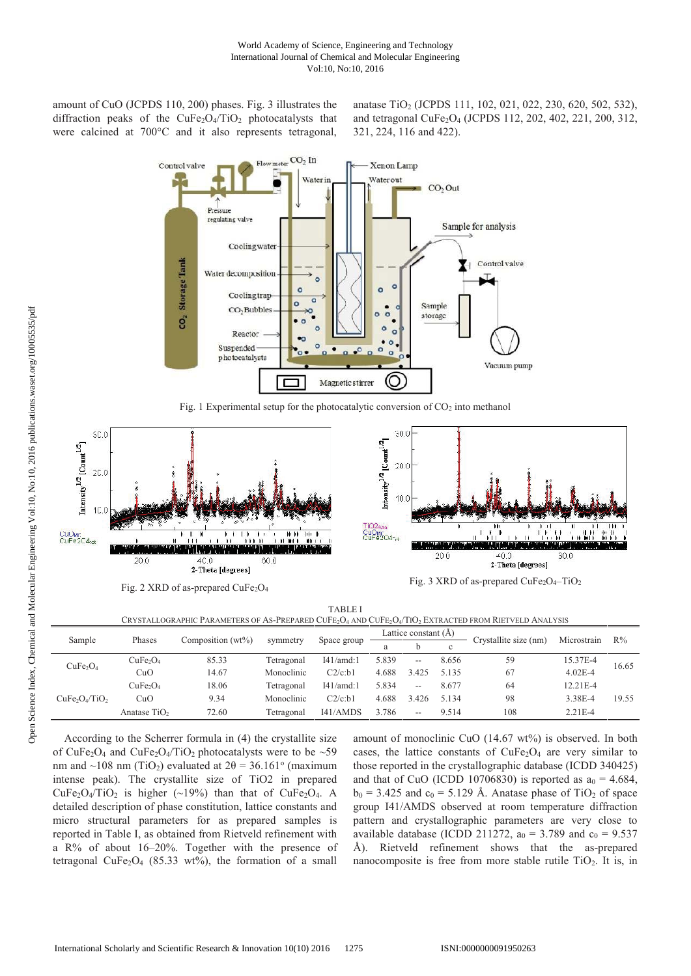amount of CuO (JCPDS 110, 200) phases. Fig. 3 illustrates the diffraction peaks of the  $CuFe<sub>2</sub>O<sub>4</sub>/TiO<sub>2</sub>$  photocatalysts that were calcined at 700°C and it also represents tetragonal,

anatase TiO2 (JCPDS 111, 102, 021, 022, 230, 620, 502, 532), and tetragonal CuFe2O4 (JCPDS 112, 202, 402, 221, 200, 312, 321, 224, 116 and 422).



Fig. 1 Experimental setup for the photocatalytic conversion of  $CO<sub>2</sub>$  into methanol



TABLE I  $CSP$  a philo Dad ameters of As-Drepared CuFe  $\Omega$  and CuFe  $\Omega$  /TiO. Even acted from Dietveld Analysis

| CRTSTALLOURALIIIC EARAINETERS OF AS-EREI ARED CULE/O4 AND CULE/O4/TIO// LATRACTED FROM INETVELD AIVALTSIS |                                  |                      |            |             |                        |       |              |                       |             |       |
|-----------------------------------------------------------------------------------------------------------|----------------------------------|----------------------|------------|-------------|------------------------|-------|--------------|-----------------------|-------------|-------|
| Sample                                                                                                    | Phases                           | Composition $(wt\%)$ | symmetry   | Space group | Lattice constant $(A)$ |       |              | Crystallite size (nm) | Microstrain | $R\%$ |
|                                                                                                           |                                  |                      |            |             | a                      |       | $\mathbf{c}$ |                       |             |       |
| CuFe <sub>2</sub> O <sub>4</sub>                                                                          | CuFe <sub>2</sub> O <sub>4</sub> | 85.33                | Tetragonal | I41/amd:1   | 5.839                  | $-$   | 8.656        | 59                    | 15.37E-4    | 16.65 |
|                                                                                                           | CuO                              | 14.67                | Monoclinic | C2/c:b1     | 4.688                  | 3.425 | 5.135        | 67                    | $4.02E - 4$ |       |
| $CuFe2O4/TiO2$                                                                                            | CuFe <sub>2</sub> O <sub>4</sub> | 18.06                | Tetragonal | I41/amd:1   | 5.834                  | $-$   | 8.677        | 64                    | 12.21E-4    | 19.55 |
|                                                                                                           | CuO                              | 9.34                 | Monoclinic | C2/c:b1     | 4.688                  | 3.426 | 5.134        | 98                    | 3.38E-4     |       |
|                                                                                                           | Anatase $TiO2$                   | 72.60                | Tetragonal | I41/AMDS    | 3.786                  | $- -$ | 9.514        | 108                   | $2.21E - 4$ |       |

According to the Scherrer formula in (4) the crystallite size of CuFe<sub>2</sub>O<sub>4</sub> and CuFe<sub>2</sub>O<sub>4</sub>/TiO<sub>2</sub> photocatalysts were to be  $\sim$ 59 nm and ~108 nm (TiO<sub>2</sub>) evaluated at  $2\theta = 36.161^\circ$  (maximum intense peak). The crystallite size of TiO2 in prepared CuFe<sub>2</sub>O<sub>4</sub>/TiO<sub>2</sub> is higher (~19%) than that of CuFe<sub>2</sub>O<sub>4</sub>. A detailed description of phase constitution, lattice constants and micro structural parameters for as prepared samples is reported in Table I, as obtained from Rietveld refinement with a R% of about 16–20%. Together with the presence of tetragonal CuFe<sub>2</sub>O<sub>4</sub> (85.33 wt%), the formation of a small amount of monoclinic CuO  $(14.67 \text{ wt})$  is observed. In both cases, the lattice constants of  $CuFe<sub>2</sub>O<sub>4</sub>$  are very similar to those reported in the crystallographic database (ICDD 340425) and that of CuO (ICDD 10706830) is reported as  $a_0 = 4.684$ ,  $b_0 = 3.425$  and  $c_0 = 5.129$  Å. Anatase phase of TiO<sub>2</sub> of space group I41/AMDS observed at room temperature diffraction pattern and crystallographic parameters are very close to available database (ICDD 211272,  $a_0 = 3.789$  and  $c_0 = 9.537$ Å). Rietveld refinement shows that the as-prepared nanocomposite is free from more stable rutile TiO<sub>2</sub>. It is, in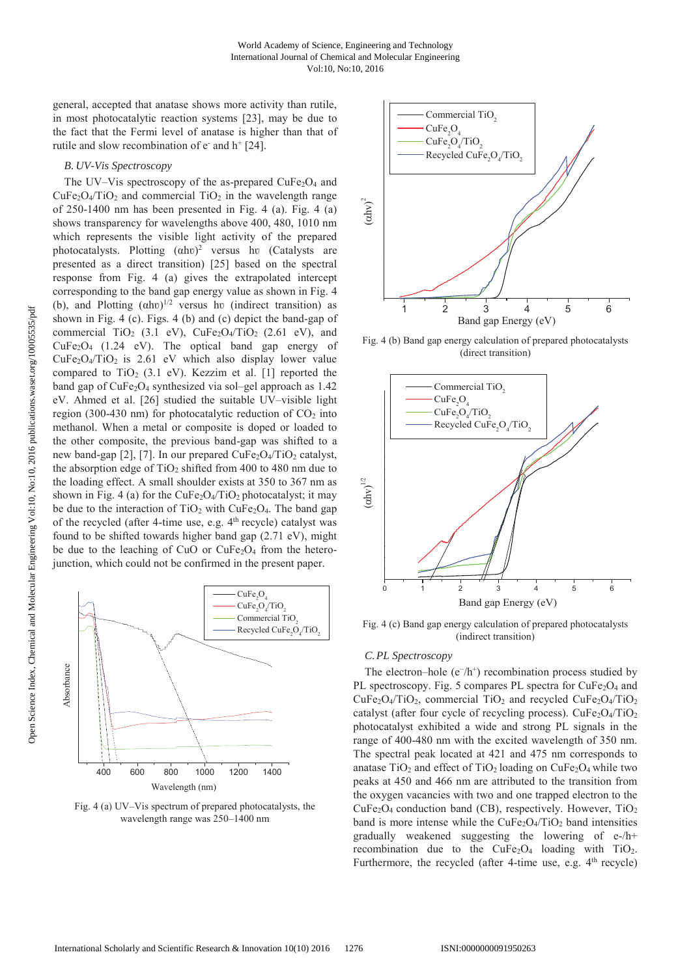general, accepted that anatase shows more activity than rutile, in most photocatalytic reaction systems [23], may be due to the fact that the Fermi level of anatase is higher than that of rutile and slow recombination of  $e^-$  and  $h^+$  [24].

#### *B. UV-Vis Spectroscopy*

The UV–Vis spectroscopy of the as-prepared  $CuFe<sub>2</sub>O<sub>4</sub>$  and  $CuFe<sub>2</sub>O<sub>4</sub>/TiO<sub>2</sub>$  and commercial TiO<sub>2</sub> in the wavelength range of  $250-1400$  nm has been presented in Fig. 4 (a). Fig. 4 (a) shows transparency for wavelengths above 400, 480, 1010 nm which represents the visible light activity of the prepared photocatalysts. Plotting  $(\alpha h\upsilon)^2$  versus hv (Catalysts are presented as a direct transition) [25] based on the spectral response from Fig. 4 (a) gives the extrapolated intercept corresponding to the band gap energy value as shown in Fig. 4 (b), and Plotting  $(\alpha h v)^{1/2}$  versus hv (indirect transition) as shown in Fig. 4 (c). Figs. 4 (b) and (c) depict the band-gap of commercial TiO<sub>2</sub> (3.1 eV), CuFe<sub>2</sub>O<sub>4</sub>/TiO<sub>2</sub> (2.61 eV), and CuFe2O4 (1.24 eV). The optical band gap energy of  $CuFe<sub>2</sub>O<sub>4</sub>/TiO<sub>2</sub>$  is 2.61 eV which also display lower value compared to TiO<sub>2</sub> (3.1 eV). Kezzim et al. [1] reported the band gap of  $CuFe<sub>2</sub>O<sub>4</sub>$  synthesized via sol–gel approach as 1.42 eV. Ahmed et al. [26] studied the suitable UV–visible light region (300-430 nm) for photocatalytic reduction of  $CO<sub>2</sub>$  into methanol. When a metal or composite is doped or loaded to the other composite, the previous band-gap was shifted to a new band-gap [2], [7]. In our prepared  $CuFe<sub>2</sub>O<sub>4</sub>/TiO<sub>2</sub>$  catalyst, the absorption edge of  $TiO<sub>2</sub>$  shifted from 400 to 480 nm due to the loading effect. A small shoulder exists at 350 to 367 nm as shown in Fig. 4 (a) for the  $CuFe<sub>2</sub>O<sub>4</sub>/TiO<sub>2</sub>$  photocatalyst; it may be due to the interaction of  $TiO<sub>2</sub>$  with CuFe<sub>2</sub>O<sub>4</sub>. The band gap of the recycled (after 4-time use, e.g. 4<sup>th</sup> recycle) catalyst was found to be shifted towards higher band gap (2.71 eV), might be due to the leaching of CuO or  $CuFe<sub>2</sub>O<sub>4</sub>$  from the heterojunction, which could not be confirmed in the present paper.



Fig. 4 (a) UV–Vis spectrum of prepared photocatalysts, the wavelength range was 250–1400 nm



Fig. 4 (b) Band gap energy calculation of prepared photocatalysts (direct transition)



Fig. 4 (c) Band gap energy calculation of prepared photocatalysts (indirect transition)

# *C.PL Spectroscopy*

The electron–hole (e<sup>−/h+</sup>) recombination process studied by PL spectroscopy. Fig. 5 compares PL spectra for  $CuFe<sub>2</sub>O<sub>4</sub>$  and  $CuFe<sub>2</sub>O<sub>4</sub>/TiO<sub>2</sub>$ , commercial TiO<sub>2</sub> and recycled  $CuFe<sub>2</sub>O<sub>4</sub>/TiO<sub>2</sub>$ catalyst (after four cycle of recycling process). CuFe<sub>2</sub>O<sub>4</sub>/TiO<sub>2</sub> photocatalyst exhibited a wide and strong PL signals in the range of 400-480 nm with the excited wavelength of 350 nm. The spectral peak located at 421 and 475 nm corresponds to anatase  $TiO<sub>2</sub>$  and effect of  $TiO<sub>2</sub>$  loading on CuFe<sub>2</sub>O<sub>4</sub> while two peaks at 450 and 466 nm are attributed to the transition from the oxygen vacancies with two and one trapped electron to the  $CuFe<sub>2</sub>O<sub>4</sub>$  conduction band (CB), respectively. However, TiO<sub>2</sub> band is more intense while the  $CuFe<sub>2</sub>O<sub>4</sub>/TiO<sub>2</sub>$  band intensities gradually weakened suggesting the lowering of e-/h+ recombination due to the  $CuFe<sub>2</sub>O<sub>4</sub>$  loading with TiO<sub>2</sub>. Furthermore, the recycled (after 4-time use, e.g.  $4<sup>th</sup>$  recycle)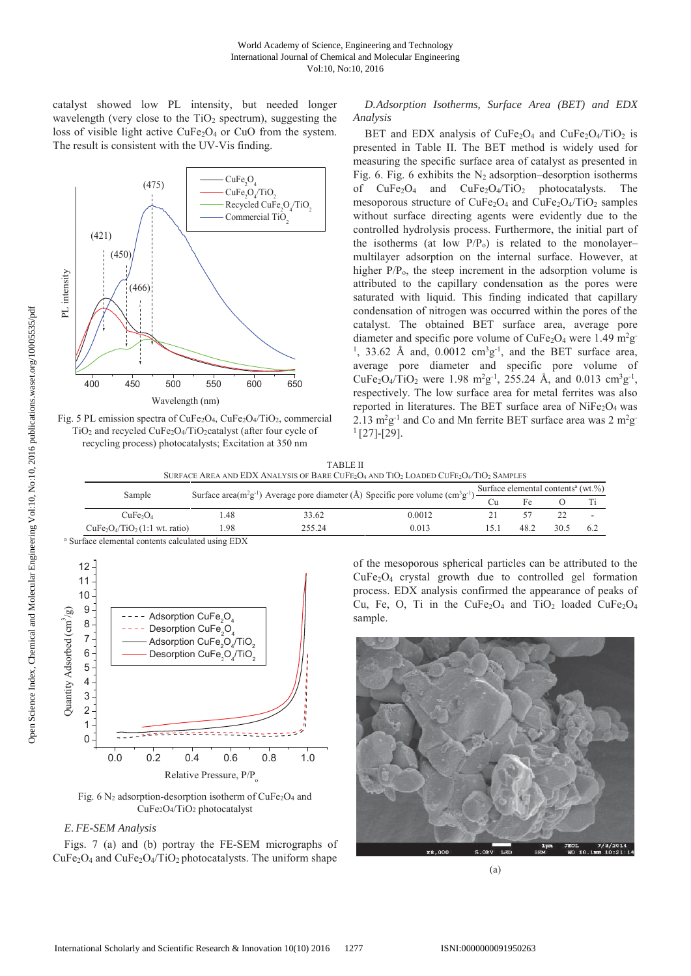catalyst showed low PL intensity, but needed longer wavelength (very close to the  $TiO<sub>2</sub>$  spectrum), suggesting the loss of visible light active  $CuFe<sub>2</sub>O<sub>4</sub>$  or CuO from the system. The result is consistent with the UV-Vis finding.



Fig. 5 PL emission spectra of CuFe2O4, CuFe2O4/TiO2, commercial TiO2 and recycled CuFe2O4/TiO2catalyst (after four cycle of recycling process) photocatalysts; Excitation at 350 nm

*D.Adsorption Isotherms, Surface Area (BET) and EDX Analysis*

BET and EDX analysis of  $CuFe<sub>2</sub>O<sub>4</sub>$  and  $CuFe<sub>2</sub>O<sub>4</sub>/TiO<sub>2</sub>$  is presented in Table II. The BET method is widely used for measuring the specific surface area of catalyst as presented in Fig. 6. Fig. 6 exhibits the  $N_2$  adsorption–desorption isotherms of  $CuFe<sub>2</sub>O<sub>4</sub>$  and  $CuFe<sub>2</sub>O<sub>4</sub>/TiO<sub>2</sub>$  photocatalysts. The mesoporous structure of  $CuFe<sub>2</sub>O<sub>4</sub>$  and  $CuFe<sub>2</sub>O<sub>4</sub>/TiO<sub>2</sub>$  samples without surface directing agents were evidently due to the controlled hydrolysis process. Furthermore, the initial part of the isotherms (at low  $P/P<sub>o</sub>$ ) is related to the monolayer– multilayer adsorption on the internal surface. However, at higher  $P/P<sub>o</sub>$ , the steep increment in the adsorption volume is attributed to the capillary condensation as the pores were saturated with liquid. This finding indicated that capillary condensation of nitrogen was occurred within the pores of the catalyst. The obtained BET surface area, average pore diameter and specific pore volume of CuFe<sub>2</sub>O<sub>4</sub> were 1.49 m<sup>2</sup>g <sup>1</sup>, 33.62 Å and, 0.0012 cm<sup>3</sup>g<sup>-1</sup>, and the BET surface area, average pore diameter and specific pore volume of CuFe<sub>2</sub>O<sub>4</sub>/TiO<sub>2</sub> were 1.98 m<sup>2</sup>g<sup>-1</sup>, 255.24 Å, and 0.013 cm<sup>3</sup>g<sup>-1</sup>, respectively. The low surface area for metal ferrites was also reported in literatures. The BET surface area of  $NiFe<sub>2</sub>O<sub>4</sub>$  was 2.13  $m^2g^{-1}$  and Co and Mn ferrite BET surface area was 2  $m^2g$  $^{1}[27]-[29].$ 

| <b>TABLE II</b>                                                                                                                                               |  |
|---------------------------------------------------------------------------------------------------------------------------------------------------------------|--|
| SURFACE AREA AND EDX ANALYSIS OF BARE CUFE <sub>2</sub> O <sub>4</sub> AND TIO <sub>2</sub> LOADED CUFE <sub>2</sub> O <sub>4</sub> /TIO <sub>2</sub> SAMPLES |  |

| Sample                           |                                                                                                                                                                                                   |        |        |      |      |      |                          |
|----------------------------------|---------------------------------------------------------------------------------------------------------------------------------------------------------------------------------------------------|--------|--------|------|------|------|--------------------------|
|                                  | Surface area(m <sup>2</sup> g <sup>-1</sup> ) Average pore diameter (Å) Specific pore volume (cm <sup>3</sup> g <sup>-1</sup> ) $\frac{\text{Surface elemental contents}^a (wt.^{6})}{\text{Cu}}$ |        |        |      |      |      |                          |
| CuFe <sub>2</sub> O <sub>4</sub> | .48                                                                                                                                                                                               | 33.62  | 0.0012 |      |      |      | $\overline{\phantom{a}}$ |
| $CuFe2O4/TiO2(1:1 wt. ratio)$    | 1.98                                                                                                                                                                                              | 255.24 | 0.013  | 15.1 | 48.2 | 30.5 | -6.2                     |

<sup>a</sup> Surface elemental contents calculated using EDX



Fig.  $6$  N<sub>2</sub> adsorption-desorption isotherm of CuFe<sub>2</sub>O<sub>4</sub> and CuFe2O4/TiO2 photocatalyst

# *E. FE-SEM Analysis*

Figs. 7 (a) and (b) portray the FE-SEM micrographs of  $CuFe<sub>2</sub>O<sub>4</sub>$  and  $CuFe<sub>2</sub>O<sub>4</sub>/TiO<sub>2</sub>$  photocatalysts. The uniform shape of the mesoporous spherical particles can be attributed to the CuFe2O4 crystal growth due to controlled gel formation process. EDX analysis confirmed the appearance of peaks of Cu, Fe, O, Ti in the CuFe<sub>2</sub>O<sub>4</sub> and TiO<sub>2</sub> loaded CuFe<sub>2</sub>O<sub>4</sub> sample.



(a)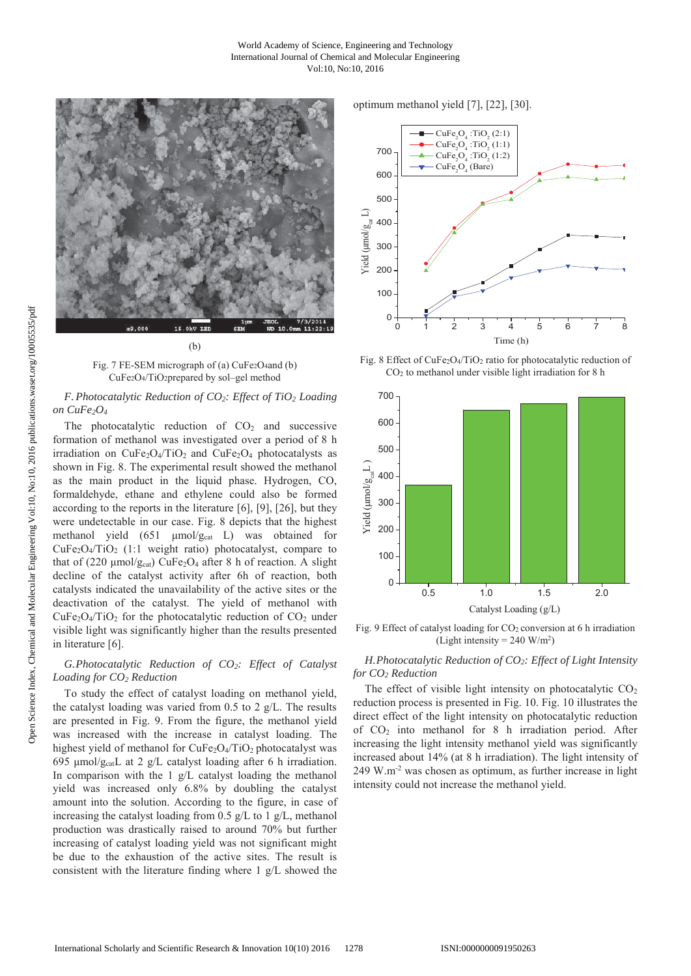

Fig. 7 FE-SEM micrograph of (a) CuFe<sub>2</sub>O<sub>4</sub>and (b) CuFe2O4/TiO2prepared by sol–gel method

# *F. Photocatalytic Reduction of CO2: Effect of TiO2 Loading on CuFe2O4*

The photocatalytic reduction of  $CO<sub>2</sub>$  and successive formation of methanol was investigated over a period of 8 h irradiation on  $CuFe<sub>2</sub>O<sub>4</sub>/TiO<sub>2</sub>$  and  $CuFe<sub>2</sub>O<sub>4</sub>$  photocatalysts as shown in Fig. 8. The experimental result showed the methanol as the main product in the liquid phase. Hydrogen, CO, formaldehyde, ethane and ethylene could also be formed according to the reports in the literature [6], [9], [26], but they were undetectable in our case. Fig. 8 depicts that the highest methanol yield (651 μmol/g<sub>cat</sub> L) was obtained for  $CuFe<sub>2</sub>O<sub>4</sub>/TiO<sub>2</sub>$  (1:1 weight ratio) photocatalyst, compare to that of (220  $\mu$ mol/g<sub>cat</sub>) CuFe<sub>2</sub>O<sub>4</sub> after 8 h of reaction. A slight decline of the catalyst activity after 6h of reaction, both catalysts indicated the unavailability of the active sites or the deactivation of the catalyst. The yield of methanol with  $CuFe<sub>2</sub>O<sub>4</sub>/TiO<sub>2</sub>$  for the photocatalytic reduction of  $CO<sub>2</sub>$  under visible light was significantly higher than the results presented in literature [6].

# *G.Photocatalytic Reduction of CO2: Effect of Catalyst Loading for CO2 Reduction*

To study the effect of catalyst loading on methanol yield, the catalyst loading was varied from  $0.5$  to  $2$  g/L. The results are presented in Fig. 9. From the figure, the methanol yield was increased with the increase in catalyst loading. The highest yield of methanol for  $CuFe<sub>2</sub>O<sub>4</sub>/TiO<sub>2</sub>$  photocatalyst was 695 μmol/ $g_{cat}$ L at 2 g/L catalyst loading after 6 h irradiation. In comparison with the 1 g/L catalyst loading the methanol yield was increased only 6.8% by doubling the catalyst amount into the solution. According to the figure, in case of increasing the catalyst loading from 0.5  $g/L$  to 1  $g/L$ , methanol production was drastically raised to around 70% but further increasing of catalyst loading yield was not significant might be due to the exhaustion of the active sites. The result is consistent with the literature finding where 1 g/L showed the

# optimum methanol yield [7], [22], [30].



Fig. 8 Effect of CuFe2O4/TiO2 ratio for photocatalytic reduction of CO2 to methanol under visible light irradiation for 8 h



Fig. 9 Effect of catalyst loading for CO<sub>2</sub> conversion at 6 h irradiation (Light intensity  $= 240$  W/m<sup>2</sup>)

# *H.Photocatalytic Reduction of CO2: Effect of Light Intensity for CO2 Reduction*

The effect of visible light intensity on photocatalytic  $CO<sub>2</sub>$ reduction process is presented in Fig. 10. Fig. 10 illustrates the direct effect of the light intensity on photocatalytic reduction of CO2 into methanol for 8 h irradiation period. After increasing the light intensity methanol yield was significantly increased about 14% (at 8 h irradiation). The light intensity of 249 W.m-2 was chosen as optimum, as further increase in light intensity could not increase the methanol yield.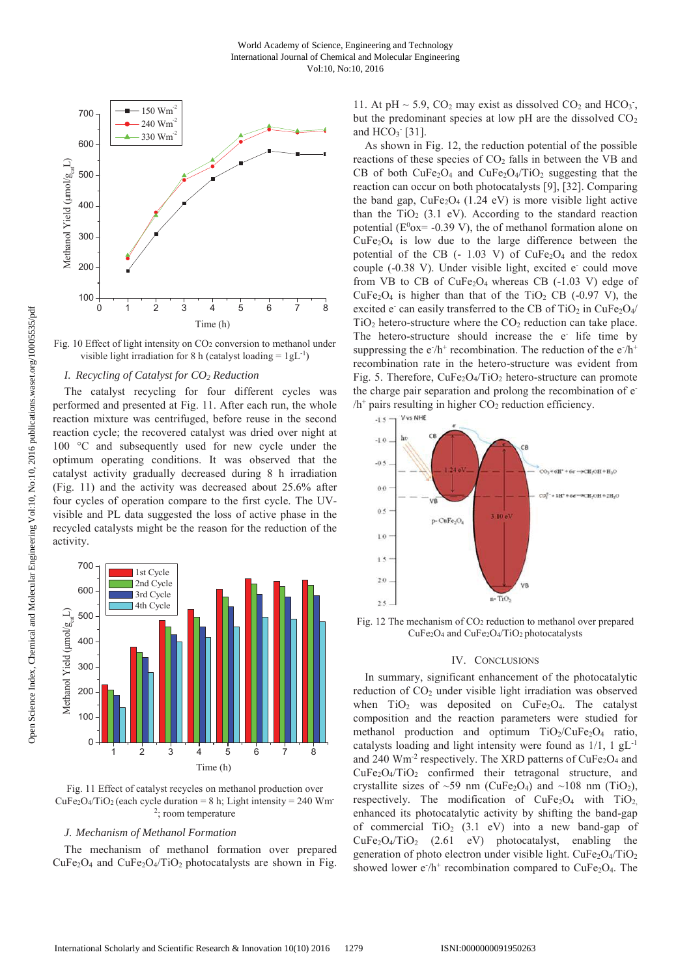

Fig. 10 Effect of light intensity on CO<sub>2</sub> conversion to methanol under visible light irradiation for 8 h (catalyst loading =  $1gL^{-1}$ )

# *I. Recycling of Catalyst for CO2 Reduction*

The catalyst recycling for four different cycles was performed and presented at Fig. 11. After each run, the whole reaction mixture was centrifuged, before reuse in the second reaction cycle; the recovered catalyst was dried over night at 100 °C and subsequently used for new cycle under the optimum operating conditions. It was observed that the catalyst activity gradually decreased during 8 h irradiation (Fig. 11) and the activity was decreased about 25.6% after four cycles of operation compare to the first cycle. The UVvisible and PL data suggested the loss of active phase in the recycled catalysts might be the reason for the reduction of the activity.



Fig. 11 Effect of catalyst recycles on methanol production over  $CuFe<sub>2</sub>O<sub>4</sub>/TiO<sub>2</sub> (each cycle duration = 8 h; Light intensity = 240 Wm)$ 2; room temperature

# *J. Mechanism of Methanol Formation*

The mechanism of methanol formation over prepared  $CuFe<sub>2</sub>O<sub>4</sub>$  and  $CuFe<sub>2</sub>O<sub>4</sub>/TiO<sub>2</sub>$  photocatalysts are shown in Fig.

11. At pH  $\sim$  5.9, CO<sub>2</sub> may exist as dissolved CO<sub>2</sub> and HCO<sub>3</sub><sup>-</sup>, but the predominant species at low pH are the dissolved  $CO<sub>2</sub>$ and  $HCO<sub>3</sub>$ <sup>-</sup> [31].

As shown in Fig. 12, the reduction potential of the possible reactions of these species of CO<sub>2</sub> falls in between the VB and CB of both  $CuFe<sub>2</sub>O<sub>4</sub>$  and  $CuFe<sub>2</sub>O<sub>4</sub>/TiO<sub>2</sub>$  suggesting that the reaction can occur on both photocatalysts [9], [32]. Comparing the band gap,  $CuFe<sub>2</sub>O<sub>4</sub>$  (1.24 eV) is more visible light active than the TiO<sub>2</sub> (3.1 eV). According to the standard reaction potential ( $E^0$ ox= -0.39 V), the of methanol formation alone on  $CuFe<sub>2</sub>O<sub>4</sub>$  is low due to the large difference between the potential of the CB  $(-1.03 \text{ V})$  of CuFe<sub>2</sub>O<sub>4</sub> and the redox couple (-0.38 V). Under visible light, excited e<sup>-</sup> could move from VB to CB of  $CuFe<sub>2</sub>O<sub>4</sub>$  whereas CB (-1.03 V) edge of  $CuFe<sub>2</sub>O<sub>4</sub>$  is higher than that of the TiO<sub>2</sub> CB (-0.97 V), the excited e<sup>-</sup> can easily transferred to the CB of TiO<sub>2</sub> in CuFe<sub>2</sub>O<sub>4</sub>/  $TiO<sub>2</sub>$  hetero-structure where the  $CO<sub>2</sub>$  reduction can take place. The hetero-structure should increase the e life time by suppressing the  $e^{-}/h^{+}$  recombination. The reduction of the  $e^{-}/h^{+}$ recombination rate in the hetero-structure was evident from Fig. 5. Therefore,  $CuFe<sub>2</sub>O<sub>4</sub>/TiO<sub>2</sub>$  hetero-structure can promote the charge pair separation and prolong the recombination of e- $/h^+$  pairs resulting in higher  $CO_2$  reduction efficiency.



Fig. 12 The mechanism of  $CO<sub>2</sub>$  reduction to methanol over prepared CuFe2O4 and CuFe2O4/TiO2 photocatalysts

### IV. CONCLUSIONS

In summary, significant enhancement of the photocatalytic reduction of CO2 under visible light irradiation was observed when  $TiO<sub>2</sub>$  was deposited on  $CuFe<sub>2</sub>O<sub>4</sub>$ . The catalyst composition and the reaction parameters were studied for methanol production and optimum  $TiO_2/CuFe_2O_4$  ratio, catalysts loading and light intensity were found as  $1/1$ ,  $1 \text{ gL}^{-1}$ and 240  $\text{Wm}^2$  respectively. The XRD patterns of CuFe<sub>2</sub>O<sub>4</sub> and  $CuFe<sub>2</sub>O<sub>4</sub>/TiO<sub>2</sub>$  confirmed their tetragonal structure, and crystallite sizes of  $\sim$ 59 nm (CuFe<sub>2</sub>O<sub>4</sub>) and  $\sim$ 108 nm (TiO<sub>2</sub>), respectively. The modification of  $CuFe<sub>2</sub>O<sub>4</sub>$  with  $TiO<sub>2</sub>$ , enhanced its photocatalytic activity by shifting the band-gap of commercial  $TiO<sub>2</sub>$  (3.1 eV) into a new band-gap of CuFe2O4/TiO2 (2.61 eV) photocatalyst, enabling the generation of photo electron under visible light.  $CuFe<sub>2</sub>O<sub>4</sub>/TiO<sub>2</sub>$ showed lower  $e/h^+$  recombination compared to CuFe<sub>2</sub>O<sub>4</sub>. The